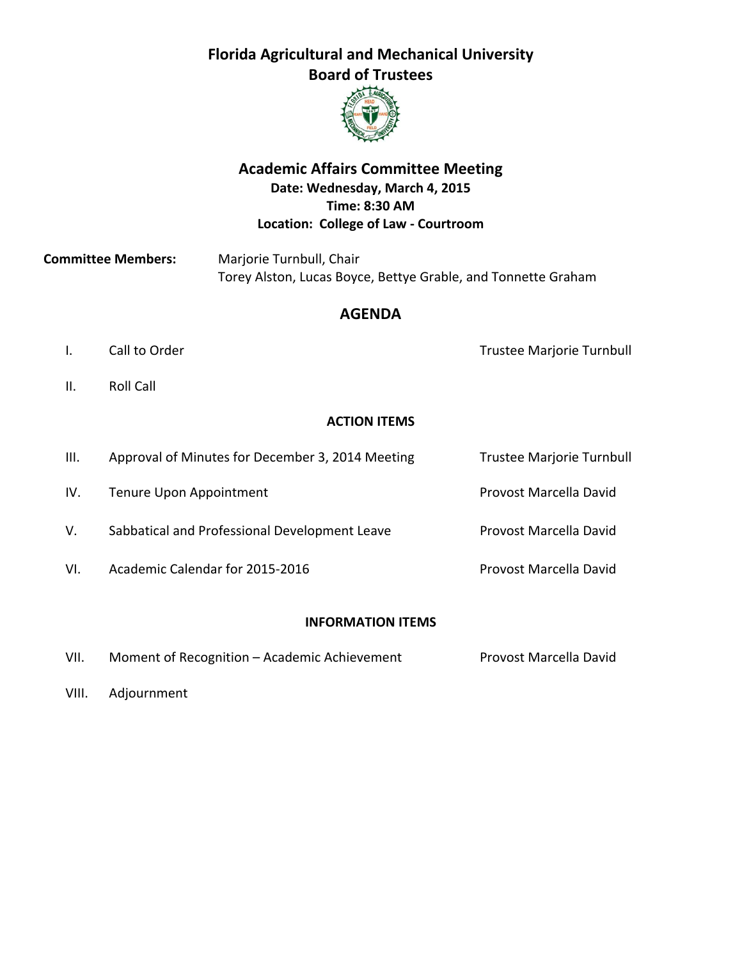# **Florida Agricultural and Mechanical University Board of Trustees**



# **Academic Affairs Committee Meeting Date: Wednesday, March 4, 2015 Time: 8:30 AM Location: College of Law ‐ Courtroom**

**Committee Members:** Marjorie Turnbull, Chair Torey Alston, Lucas Boyce, Bettye Grable, and Tonnette Graham

## **AGENDA**

I. Call to Order **1. Alle State Contract Contract Contract Contract Contract Contract Contract Contract Contract Contract Contract Contract Contract Contract Contract Contract Contract Contract Contract Contract Contract C** 

II. Roll Call

## **ACTION ITEMS**

| III. | Approval of Minutes for December 3, 2014 Meeting | <b>Trustee Marjorie Turnbull</b> |
|------|--------------------------------------------------|----------------------------------|
| IV.  | Tenure Upon Appointment                          | Provost Marcella David           |
| V.   | Sabbatical and Professional Development Leave    | Provost Marcella David           |
| VI.  | Academic Calendar for 2015-2016                  | Provost Marcella David           |
|      |                                                  |                                  |

### **INFORMATION ITEMS**

| VII. | Moment of Recognition - Academic Achievement | Provost Marcella David |
|------|----------------------------------------------|------------------------|
|      |                                              |                        |

VIII. Adjournment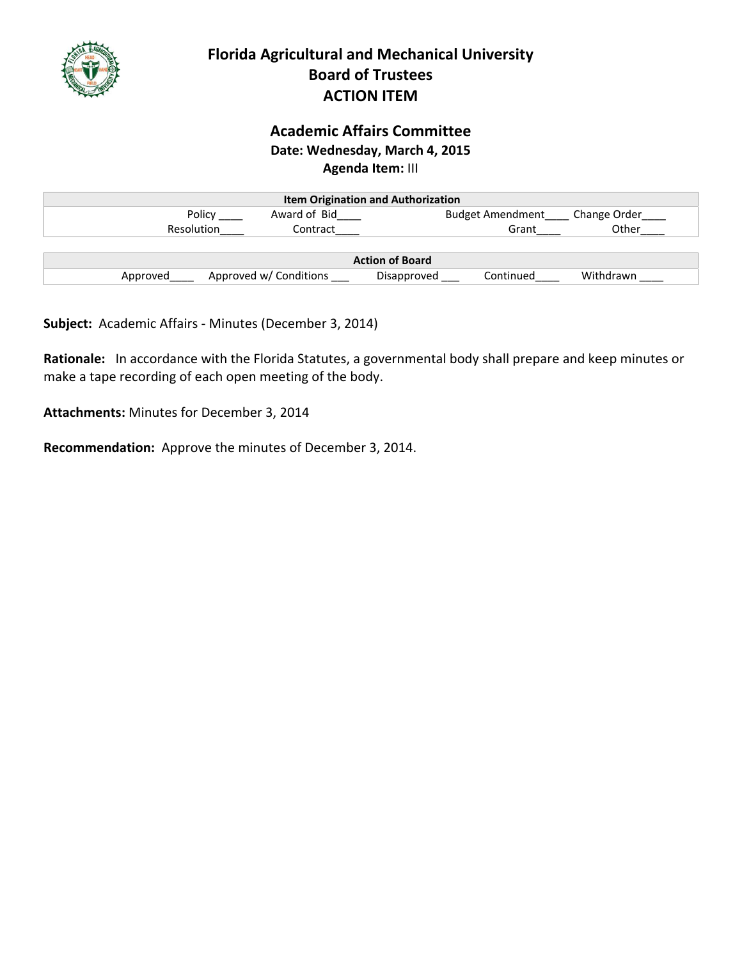

# **Academic Affairs Committee Date: Wednesday, March 4, 2015 Agenda Item:** III

|                   | <b>Item Origination and Authorization</b> |                          |              |
|-------------------|-------------------------------------------|--------------------------|--------------|
| Policy            | Award of Bid                              | <b>Budget Amendment</b>  | Change Order |
| <b>Resolution</b> | Contract                                  | Grant                    | Other        |
|                   |                                           |                          |              |
|                   |                                           | <b>Action of Board</b>   |              |
| Approved          | Approved w/ Conditions                    | Continued<br>Disapproved | Withdrawn    |

**Subject:** Academic Affairs ‐ Minutes (December 3, 2014)

**Rationale:** In accordance with the Florida Statutes, a governmental body shall prepare and keep minutes or make a tape recording of each open meeting of the body.

**Attachments:** Minutes for December 3, 2014

**Recommendation:** Approve the minutes of December 3, 2014.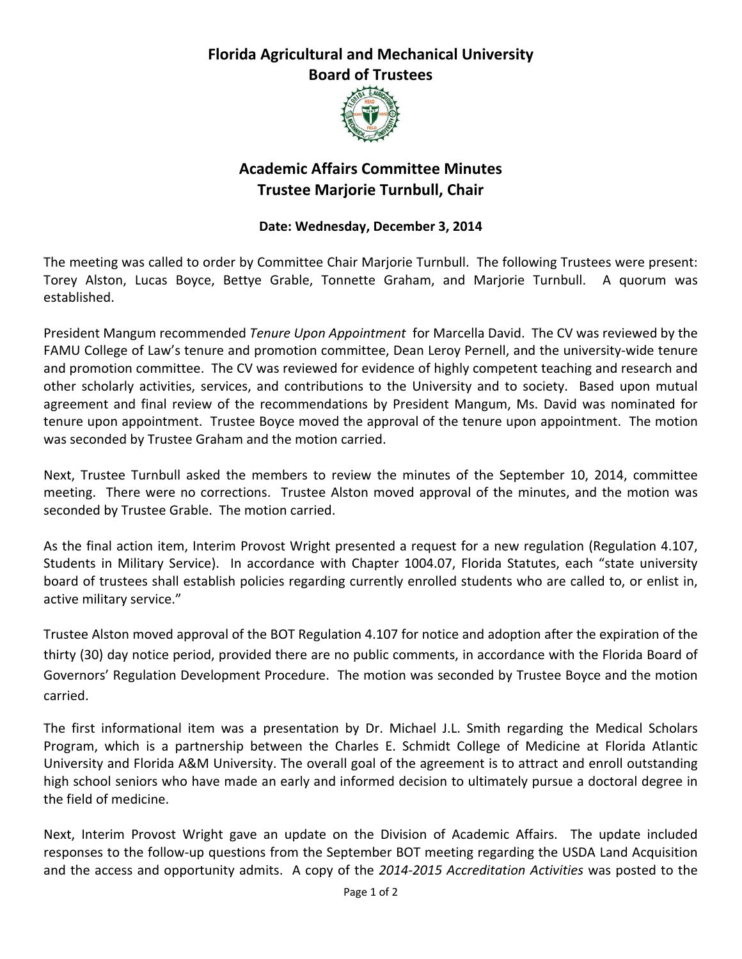# **Florida Agricultural and Mechanical University Board of Trustees**



# **Academic Affairs Committee Minutes Trustee Marjorie Turnbull, Chair**

## **Date: Wednesday, December 3, 2014**

The meeting was called to order by Committee Chair Marjorie Turnbull. The following Trustees were present: Torey Alston, Lucas Boyce, Bettye Grable, Tonnette Graham, and Marjorie Turnbull. A quorum was established.

President Mangum recommended *Tenure Upon Appointment* for Marcella David. The CV was reviewed by the FAMU College of Law's tenure and promotion committee, Dean Leroy Pernell, and the university-wide tenure and promotion committee. The CV was reviewed for evidence of highly competent teaching and research and other scholarly activities, services, and contributions to the University and to society. Based upon mutual agreement and final review of the recommendations by President Mangum, Ms. David was nominated for tenure upon appointment. Trustee Boyce moved the approval of the tenure upon appointment. The motion was seconded by Trustee Graham and the motion carried.

Next, Trustee Turnbull asked the members to review the minutes of the September 10, 2014, committee meeting. There were no corrections. Trustee Alston moved approval of the minutes, and the motion was seconded by Trustee Grable. The motion carried.

As the final action item, Interim Provost Wright presented a request for a new regulation (Regulation 4.107, Students in Military Service). In accordance with Chapter 1004.07, Florida Statutes, each "state university board of trustees shall establish policies regarding currently enrolled students who are called to, or enlist in, active military service."

Trustee Alston moved approval of the BOT Regulation 4.107 for notice and adoption after the expiration of the thirty (30) day notice period, provided there are no public comments, in accordance with the Florida Board of Governors' Regulation Development Procedure. The motion was seconded by Trustee Boyce and the motion carried.

The first informational item was a presentation by Dr. Michael J.L. Smith regarding the Medical Scholars Program, which is a partnership between the Charles E. Schmidt College of Medicine at Florida Atlantic University and Florida A&M University. The overall goal of the agreement is to attract and enroll outstanding high school seniors who have made an early and informed decision to ultimately pursue a doctoral degree in the field of medicine.

Next, Interim Provost Wright gave an update on the Division of Academic Affairs. The update included responses to the follow‐up questions from the September BOT meeting regarding the USDA Land Acquisition and the access and opportunity admits. A copy of the *2014‐2015 Accreditation Activities* was posted to the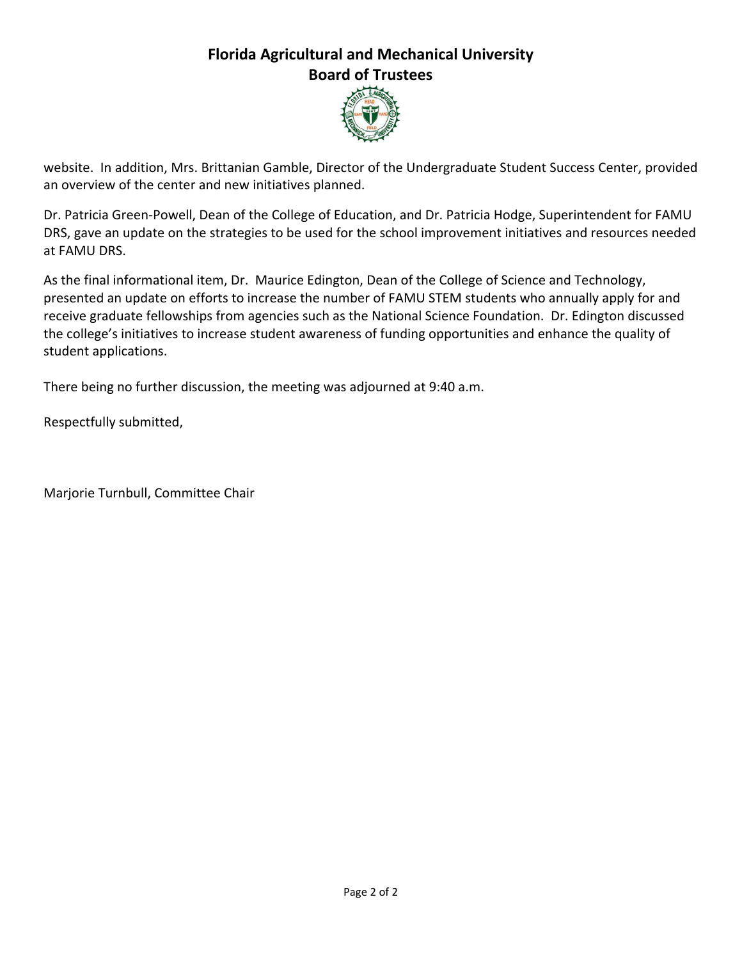# **Florida Agricultural and Mechanical University Board of Trustees**



website. In addition, Mrs. Brittanian Gamble, Director of the Undergraduate Student Success Center, provided an overview of the center and new initiatives planned.

Dr. Patricia Green‐Powell, Dean of the College of Education, and Dr. Patricia Hodge, Superintendent for FAMU DRS, gave an update on the strategies to be used for the school improvement initiatives and resources needed at FAMU DRS.

As the final informational item, Dr. Maurice Edington, Dean of the College of Science and Technology, presented an update on efforts to increase the number of FAMU STEM students who annually apply for and receive graduate fellowships from agencies such as the National Science Foundation. Dr. Edington discussed the college's initiatives to increase student awareness of funding opportunities and enhance the quality of student applications.

There being no further discussion, the meeting was adjourned at 9:40 a.m.

Respectfully submitted,

Marjorie Turnbull, Committee Chair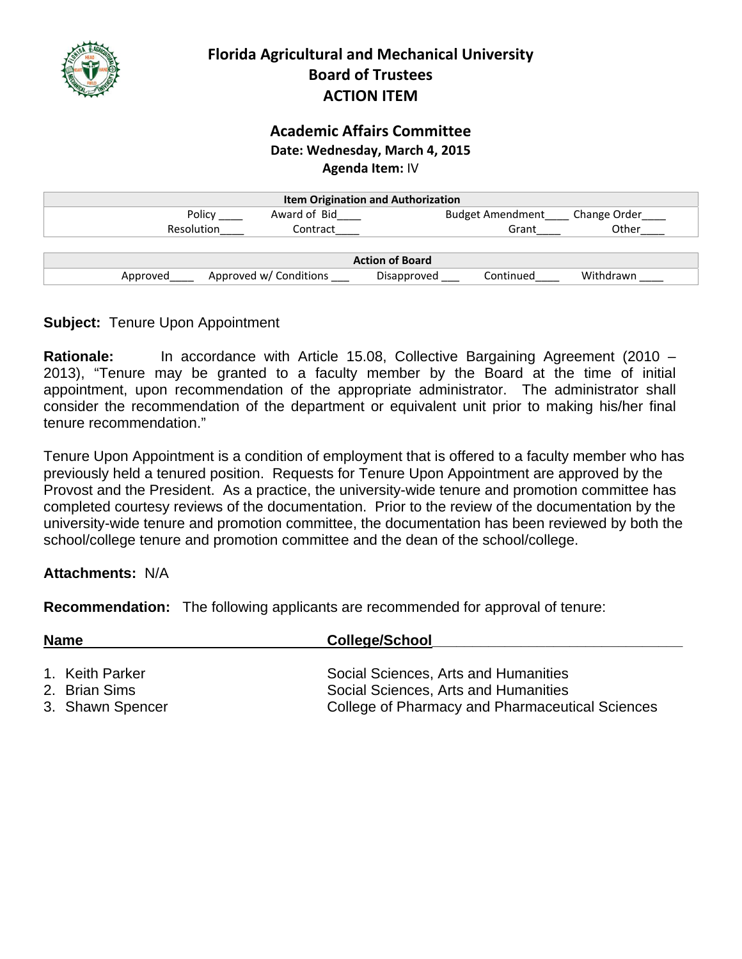

## **Academic Affairs Committee Date: Wednesday, March 4, 2015 Agenda Item:** IV

| <b>Item Origination and Authorization</b> |                        |                          |              |  |
|-------------------------------------------|------------------------|--------------------------|--------------|--|
| Policy                                    | Award of Bid           | <b>Budget Amendment</b>  | Change Order |  |
| Resolution                                | Contract               | Grant                    | Other        |  |
|                                           |                        |                          |              |  |
|                                           |                        | <b>Action of Board</b>   |              |  |
| Approved                                  | Approved w/ Conditions | Disapproved<br>Continued | Withdrawn    |  |

## **Subject:** Tenure Upon Appointment

**Rationale:** In accordance with Article 15.08, Collective Bargaining Agreement (2010 – 2013), "Tenure may be granted to a faculty member by the Board at the time of initial appointment, upon recommendation of the appropriate administrator. The administrator shall consider the recommendation of the department or equivalent unit prior to making his/her final tenure recommendation."

Tenure Upon Appointment is a condition of employment that is offered to a faculty member who has previously held a tenured position. Requests for Tenure Upon Appointment are approved by the Provost and the President. As a practice, the university-wide tenure and promotion committee has completed courtesy reviews of the documentation. Prior to the review of the documentation by the university-wide tenure and promotion committee, the documentation has been reviewed by both the school/college tenure and promotion committee and the dean of the school/college.

## **Attachments:** N/A

**Recommendation:** The following applicants are recommended for approval of tenure:

| <b>Name</b>                      | <b>College/School</b>                                                        |
|----------------------------------|------------------------------------------------------------------------------|
| 1. Keith Parker<br>2. Brian Sims | Social Sciences, Arts and Humanities<br>Social Sciences, Arts and Humanities |
| 3. Shawn Spencer                 | College of Pharmacy and Pharmaceutical Sciences                              |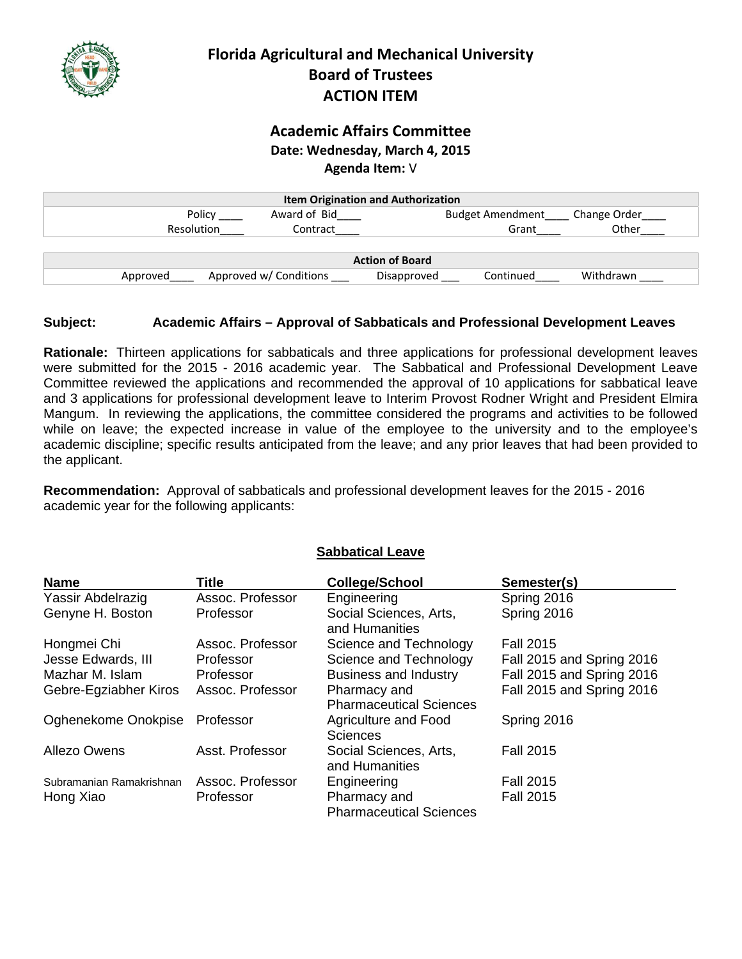

## **Academic Affairs Committee Date: Wednesday, March 4, 2015 Agenda Item:** V

| <b>Item Origination and Authorization</b> |                        |                        |                         |              |
|-------------------------------------------|------------------------|------------------------|-------------------------|--------------|
| Policy                                    | Award of Bid           |                        | <b>Budget Amendment</b> | Change Order |
| <b>Resolution</b>                         | Contract               |                        | Grant                   | Other        |
|                                           |                        |                        |                         |              |
|                                           |                        | <b>Action of Board</b> |                         |              |
| Approved                                  | Approved w/ Conditions | Disapproved            | Continued               | Withdrawn    |

### **Subject: Academic Affairs – Approval of Sabbaticals and Professional Development Leaves**

**Rationale:** Thirteen applications for sabbaticals and three applications for professional development leaves were submitted for the 2015 - 2016 academic year. The Sabbatical and Professional Development Leave Committee reviewed the applications and recommended the approval of 10 applications for sabbatical leave and 3 applications for professional development leave to Interim Provost Rodner Wright and President Elmira Mangum. In reviewing the applications, the committee considered the programs and activities to be followed while on leave; the expected increase in value of the employee to the university and to the employee's academic discipline; specific results anticipated from the leave; and any prior leaves that had been provided to the applicant.

**Recommendation:** Approval of sabbaticals and professional development leaves for the 2015 - 2016 academic year for the following applicants:

| <b>Name</b>              | Title            | <b>College/School</b>                          | Semester(s)               |
|--------------------------|------------------|------------------------------------------------|---------------------------|
| Yassir Abdelrazig        | Assoc. Professor | Engineering                                    | Spring 2016               |
| Genyne H. Boston         | Professor        | Social Sciences, Arts,<br>and Humanities       | Spring 2016               |
| Hongmei Chi              | Assoc. Professor | Science and Technology                         | <b>Fall 2015</b>          |
| Jesse Edwards, III       | Professor        | Science and Technology                         | Fall 2015 and Spring 2016 |
| Mazhar M. Islam          | Professor        | <b>Business and Industry</b>                   | Fall 2015 and Spring 2016 |
| Gebre-Egziabher Kiros    | Assoc. Professor | Pharmacy and<br><b>Pharmaceutical Sciences</b> | Fall 2015 and Spring 2016 |
| Oghenekome Onokpise      | Professor        | Agriculture and Food<br><b>Sciences</b>        | Spring 2016               |
| Allezo Owens             | Asst. Professor  | Social Sciences, Arts,<br>and Humanities       | <b>Fall 2015</b>          |
| Subramanian Ramakrishnan | Assoc. Professor | Engineering                                    | <b>Fall 2015</b>          |
| Hong Xiao                | Professor        | Pharmacy and<br><b>Pharmaceutical Sciences</b> | <b>Fall 2015</b>          |

## **Sabbatical Leave**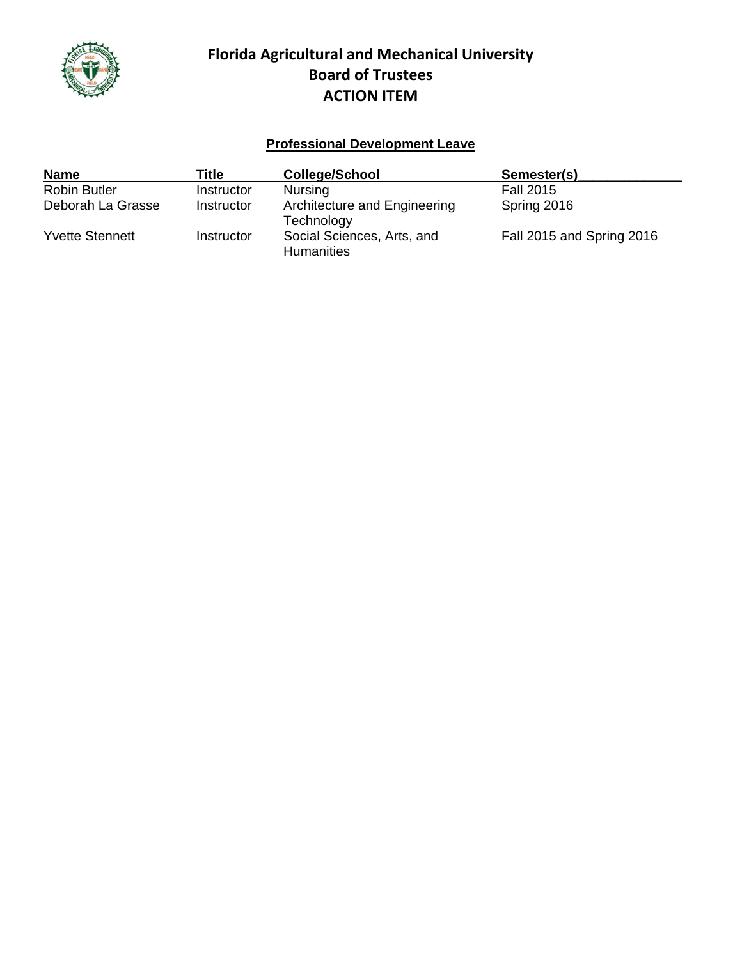

# **Professional Development Leave**

| <b>Name</b>            | Title      | <b>College/School</b>                           | Semester(s)               |
|------------------------|------------|-------------------------------------------------|---------------------------|
| <b>Robin Butler</b>    | Instructor | <b>Nursing</b>                                  | <b>Fall 2015</b>          |
| Deborah La Grasse      | Instructor | Architecture and Engineering<br>Technology      | Spring 2016               |
| <b>Yvette Stennett</b> | Instructor | Social Sciences, Arts, and<br><b>Humanities</b> | Fall 2015 and Spring 2016 |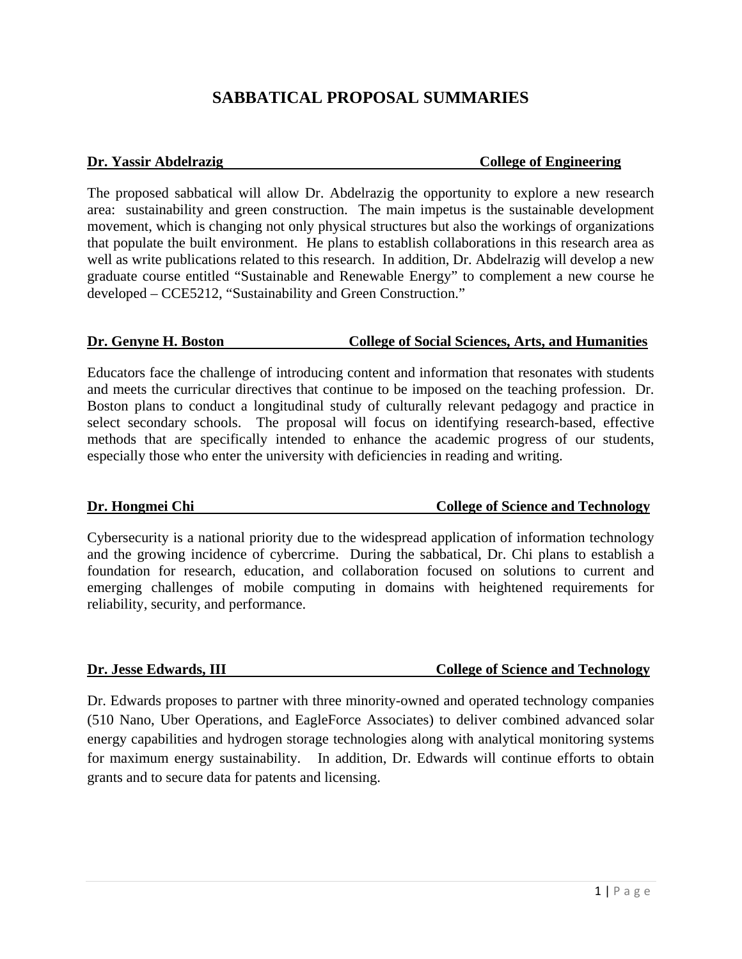# **SABBATICAL PROPOSAL SUMMARIES**

#### **Dr. Yassir Abdelrazig**  The College of Engineering **College of Engineering**

The proposed sabbatical will allow Dr. Abdelrazig the opportunity to explore a new research area: sustainability and green construction. The main impetus is the sustainable development movement, which is changing not only physical structures but also the workings of organizations that populate the built environment. He plans to establish collaborations in this research area as well as write publications related to this research. In addition, Dr. Abdelrazig will develop a new graduate course entitled "Sustainable and Renewable Energy" to complement a new course he developed – CCE5212, "Sustainability and Green Construction."

### **Dr. Genyne H. Boston College of Social Sciences, Arts, and Humanities**

Educators face the challenge of introducing content and information that resonates with students and meets the curricular directives that continue to be imposed on the teaching profession. Dr. Boston plans to conduct a longitudinal study of culturally relevant pedagogy and practice in select secondary schools. The proposal will focus on identifying research-based, effective methods that are specifically intended to enhance the academic progress of our students, especially those who enter the university with deficiencies in reading and writing.

### **Dr. Hongmei Chi** College of Science and Technology

Cybersecurity is a national priority due to the widespread application of information technology and the growing incidence of cybercrime. During the sabbatical, Dr. Chi plans to establish a foundation for research, education, and collaboration focused on solutions to current and emerging challenges of mobile computing in domains with heightened requirements for reliability, security, and performance.

## **Dr. Jesse Edwards, III** College of Science and Technology

Dr. Edwards proposes to partner with three minority-owned and operated technology companies (510 Nano, Uber Operations, and EagleForce Associates) to deliver combined advanced solar energy capabilities and hydrogen storage technologies along with analytical monitoring systems for maximum energy sustainability. In addition, Dr. Edwards will continue efforts to obtain grants and to secure data for patents and licensing.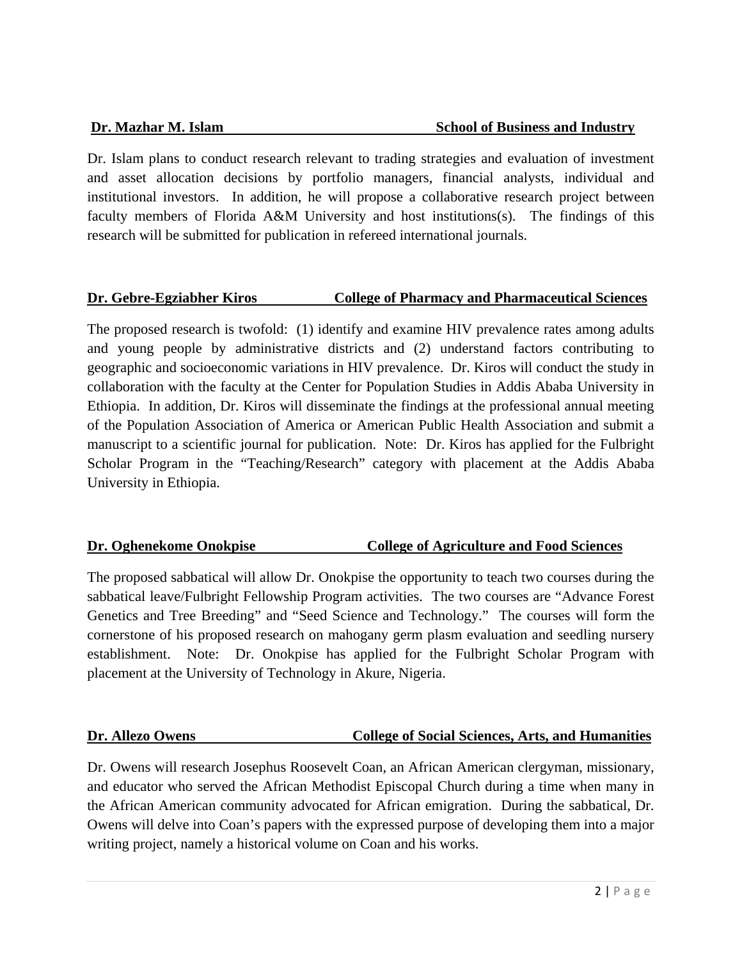Dr. Islam plans to conduct research relevant to trading strategies and evaluation of investment and asset allocation decisions by portfolio managers, financial analysts, individual and institutional investors. In addition, he will propose a collaborative research project between faculty members of Florida A&M University and host institutions(s). The findings of this research will be submitted for publication in refereed international journals.

## **Dr. Gebre-Egziabher Kiros College of Pharmacy and Pharmaceutical Sciences**

The proposed research is twofold: (1) identify and examine HIV prevalence rates among adults and young people by administrative districts and (2) understand factors contributing to geographic and socioeconomic variations in HIV prevalence. Dr. Kiros will conduct the study in collaboration with the faculty at the Center for Population Studies in Addis Ababa University in Ethiopia. In addition, Dr. Kiros will disseminate the findings at the professional annual meeting of the Population Association of America or American Public Health Association and submit a manuscript to a scientific journal for publication. Note: Dr. Kiros has applied for the Fulbright Scholar Program in the "Teaching/Research" category with placement at the Addis Ababa University in Ethiopia.

## **Dr. Oghenekome Onokpise College of Agriculture and Food Sciences**

The proposed sabbatical will allow Dr. Onokpise the opportunity to teach two courses during the sabbatical leave/Fulbright Fellowship Program activities. The two courses are "Advance Forest Genetics and Tree Breeding" and "Seed Science and Technology." The courses will form the cornerstone of his proposed research on mahogany germ plasm evaluation and seedling nursery establishment. Note: Dr. Onokpise has applied for the Fulbright Scholar Program with placement at the University of Technology in Akure, Nigeria.

## **Dr. Allezo Owens** College of Social Sciences, Arts, and Humanities

Dr. Owens will research Josephus Roosevelt Coan, an African American clergyman, missionary, and educator who served the African Methodist Episcopal Church during a time when many in the African American community advocated for African emigration. During the sabbatical, Dr. Owens will delve into Coan's papers with the expressed purpose of developing them into a major writing project, namely a historical volume on Coan and his works.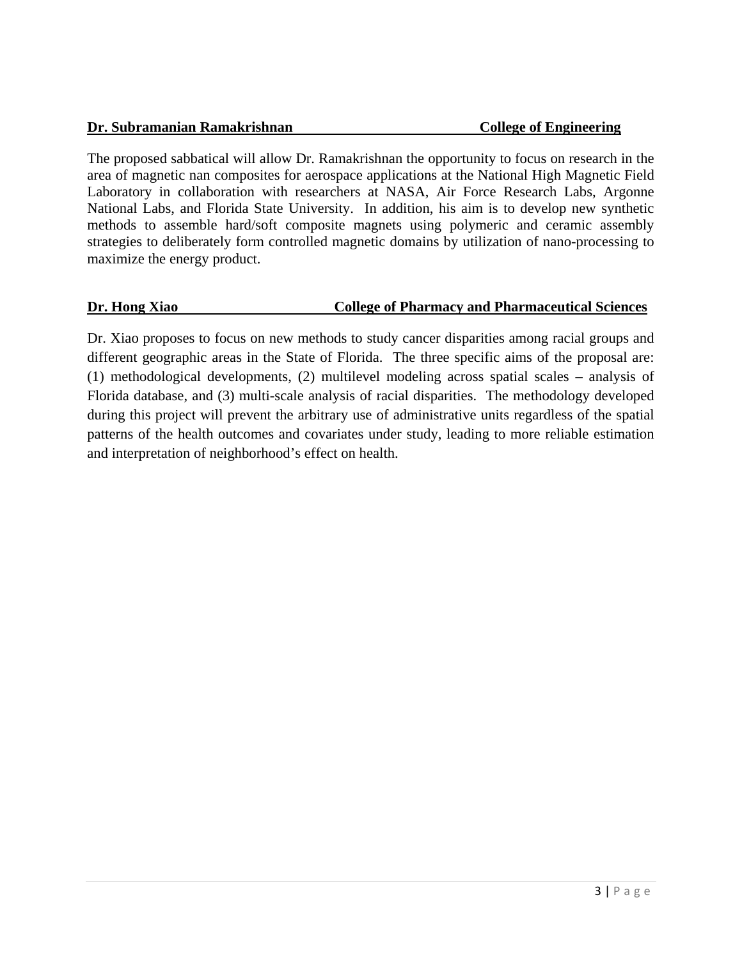#### **Dr. Subramanian Ramakrishnan College of Engineering College of Engineering**

The proposed sabbatical will allow Dr. Ramakrishnan the opportunity to focus on research in the area of magnetic nan composites for aerospace applications at the National High Magnetic Field Laboratory in collaboration with researchers at NASA, Air Force Research Labs, Argonne National Labs, and Florida State University. In addition, his aim is to develop new synthetic methods to assemble hard/soft composite magnets using polymeric and ceramic assembly strategies to deliberately form controlled magnetic domains by utilization of nano-processing to maximize the energy product.

### **Dr. Hong Xiao College of Pharmacy and Pharmaceutical Sciences**

Dr. Xiao proposes to focus on new methods to study cancer disparities among racial groups and different geographic areas in the State of Florida. The three specific aims of the proposal are: (1) methodological developments, (2) multilevel modeling across spatial scales – analysis of Florida database, and (3) multi-scale analysis of racial disparities. The methodology developed during this project will prevent the arbitrary use of administrative units regardless of the spatial patterns of the health outcomes and covariates under study, leading to more reliable estimation and interpretation of neighborhood's effect on health.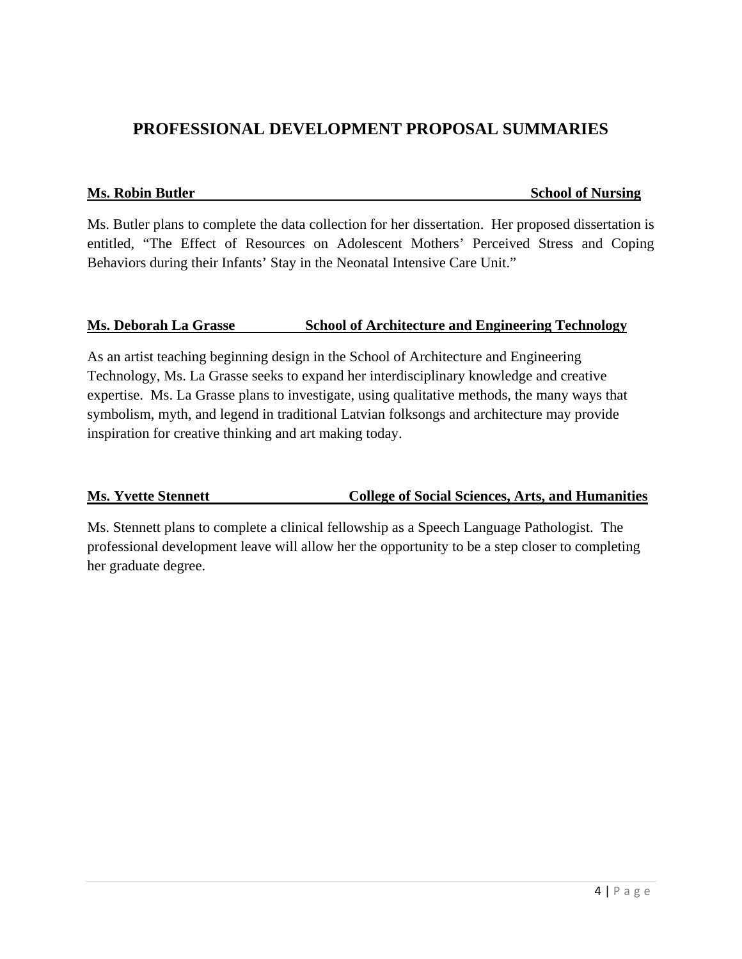# **PROFESSIONAL DEVELOPMENT PROPOSAL SUMMARIES**

#### **Ms. Robin Butler School of Nursing**

Ms. Butler plans to complete the data collection for her dissertation. Her proposed dissertation is entitled, "The Effect of Resources on Adolescent Mothers' Perceived Stress and Coping Behaviors during their Infants' Stay in the Neonatal Intensive Care Unit."

### **Ms. Deborah La Grasse School of Architecture and Engineering Technology**

As an artist teaching beginning design in the School of Architecture and Engineering Technology, Ms. La Grasse seeks to expand her interdisciplinary knowledge and creative expertise. Ms. La Grasse plans to investigate, using qualitative methods, the many ways that symbolism, myth, and legend in traditional Latvian folksongs and architecture may provide inspiration for creative thinking and art making today.

## **Ms. Yvette Stennett College of Social Sciences, Arts, and Humanities**

Ms. Stennett plans to complete a clinical fellowship as a Speech Language Pathologist. The professional development leave will allow her the opportunity to be a step closer to completing her graduate degree.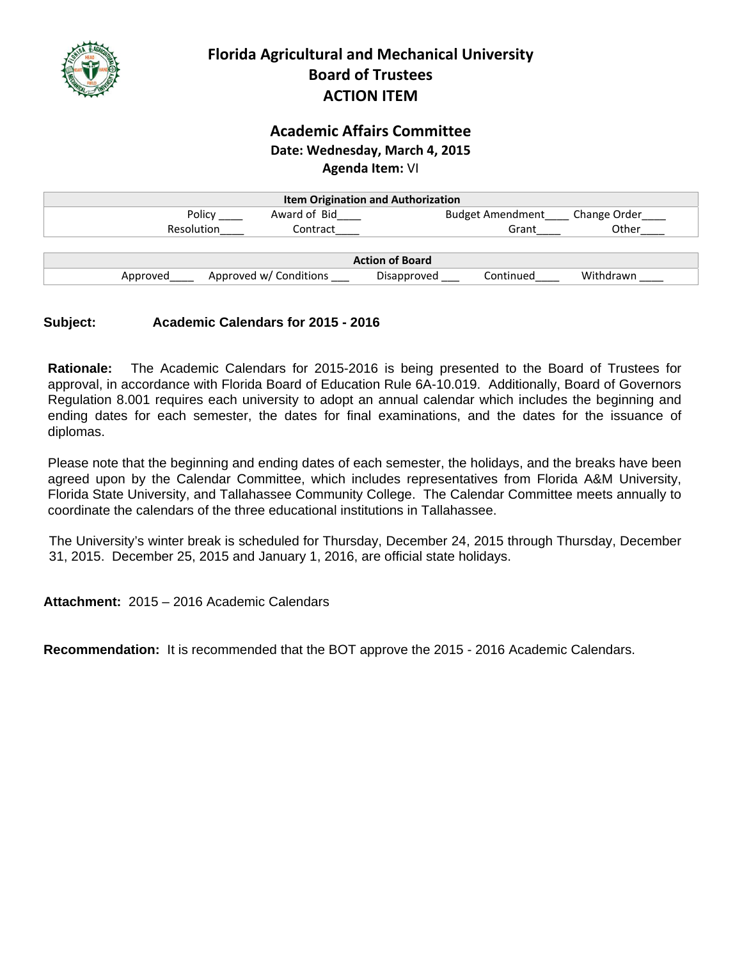

## **Academic Affairs Committee Date: Wednesday, March 4, 2015 Agenda Item:** VI

| <b>Item Origination and Authorization</b> |                        |                          |              |
|-------------------------------------------|------------------------|--------------------------|--------------|
| Policy                                    | Award of Bid           | <b>Budget Amendment</b>  | Change Order |
| <b>Resolution</b>                         | Contract               | Grant                    | Other        |
|                                           |                        |                          |              |
|                                           |                        | <b>Action of Board</b>   |              |
| Approved                                  | Approved w/ Conditions | Continued<br>Disapproved | Withdrawn    |

## **Subject: Academic Calendars for 2015 - 2016**

**Rationale:** The Academic Calendars for 2015-2016 is being presented to the Board of Trustees for approval, in accordance with Florida Board of Education Rule 6A-10.019. Additionally, Board of Governors Regulation 8.001 requires each university to adopt an annual calendar which includes the beginning and ending dates for each semester, the dates for final examinations, and the dates for the issuance of diplomas.

Please note that the beginning and ending dates of each semester, the holidays, and the breaks have been agreed upon by the Calendar Committee, which includes representatives from Florida A&M University, Florida State University, and Tallahassee Community College. The Calendar Committee meets annually to coordinate the calendars of the three educational institutions in Tallahassee.

The University's winter break is scheduled for Thursday, December 24, 2015 through Thursday, December 31, 2015. December 25, 2015 and January 1, 2016, are official state holidays.

**Attachment:** 2015 – 2016 Academic Calendars

**Recommendation:** It is recommended that the BOT approve the 2015 - 2016 Academic Calendars.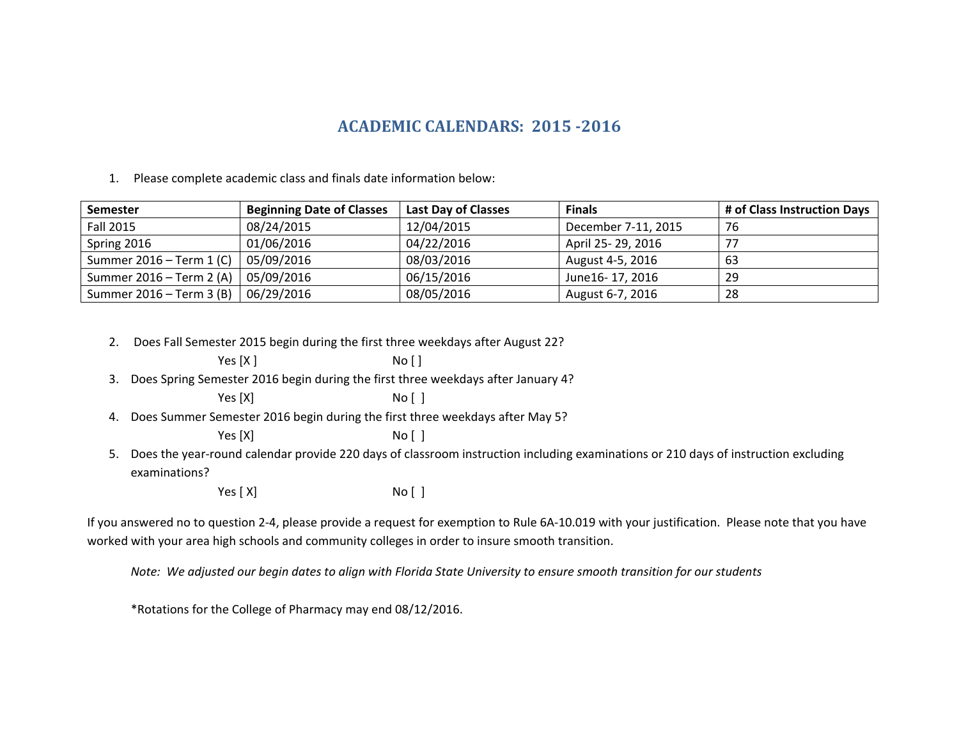# **ACADEMIC CALENDARS: 2015 ‐2016**

1. Please complete academic class and finals date information below:

| <b>Semester</b>          | <b>Beginning Date of Classes</b> | <b>Last Day of Classes</b> | <b>Finals</b>       | # of Class Instruction Days |
|--------------------------|----------------------------------|----------------------------|---------------------|-----------------------------|
| Fall 2015                | 08/24/2015                       | 12/04/2015                 | December 7-11, 2015 | 76                          |
| Spring 2016              | 01/06/2016                       | 04/22/2016                 | April 25-29, 2016   |                             |
| Summer 2016 – Term 1 (C) | 05/09/2016                       | 08/03/2016                 | August 4-5, 2016    | 63                          |
| Summer 2016 – Term 2 (A) | 05/09/2016                       | 06/15/2016                 | June16-17, 2016     | 29                          |
| Summer 2016 – Term 3 (B) | 06/29/2016                       | 08/05/2016                 | August 6-7, 2016    | 28                          |

2. Does Fall Semester 2015 begin during the first three weekdays after August 22?

| 3. Does Spring Semester 2016 begin during the first three weekdays after January 4? |
|-------------------------------------------------------------------------------------|
|                                                                                     |

 $No []$ 

 $No [ ]$ 

Yes  $[X]$ 

Yes [X]

4. Does Summer Semester 2016 begin during the first three weekdays after May 5?

Yes [X]  $No [ ]$ 

5. Does the year‐round calendar provide 220 days of classroom instruction including examinations or 210 days of instruction excluding examinations?

> Yes [X] No [ ]

If you answered no to question 2‐4, please provide <sup>a</sup> request for exemption to Rule 6A‐10.019 with your justification. Please note that you have worked with your area high schools and community colleges in order to insure smooth transition.

Note: We adjusted our begin dates to align with Florida State University to ensure smooth transition for our students

\*Rotations for the College of Pharmacy may end 08/12/2016.